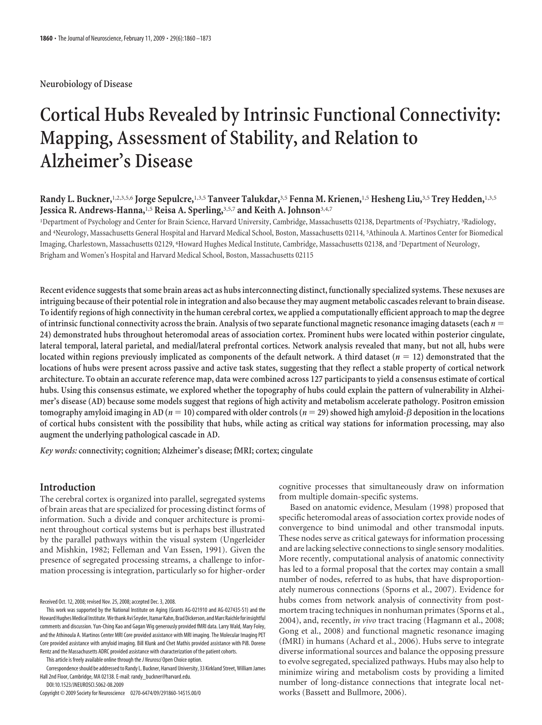## **Neurobiology of Disease**

# **Cortical Hubs Revealed by Intrinsic Functional Connectivity: Mapping, Assessment of Stability, and Relation to Alzheimer's Disease**

## **Randy L. Buckner,**1,2,3,5,6 **Jorge Sepulcre,**1,3,5 **Tanveer Talukdar,**3,5 **Fenna M. Krienen,**1,5 **Hesheng Liu,**3,5 **Trey Hedden,**1,3,5 **Jessica R. Andrews-Hanna,**1,5 **Reisa A. Sperling,**3,5,7 **and Keith A. Johnson**3,4,7

<sup>1</sup>Department of Psychology and Center for Brain Science, Harvard University, Cambridge, Massachusetts 02138, Departments of <sup>2</sup>Psychiatry, <sup>3</sup>Radiology, and <sup>4</sup> Neurology, Massachusetts General Hospital and Harvard Medical School, Boston, Massachusetts 02114, <sup>5</sup> Athinoula A. Martinos Center for Biomedical Imaging, Charlestown, Massachusetts 02129, <sup>6</sup>Howard Hughes Medical Institute, Cambridge, Massachusetts 02138, and <sup>7</sup>Department of Neurology, Brigham and Women's Hospital and Harvard Medical School, Boston, Massachusetts 02115

**Recent evidence suggests that some brain areas act as hubs interconnecting distinct, functionally specialized systems. These nexuses are intriguing because of their potential role in integration and also because they may augment metabolic cascades relevant to brain disease. To identify regions of high connectivity in the human cerebral cortex, we applied a computationally efficient approach to map the degree of intrinsic functional connectivity across the brain. Analysis of two separate functional magnetic resonance imaging datasets (each** *n* **24) demonstrated hubs throughout heteromodal areas of association cortex. Prominent hubs were located within posterior cingulate, lateral temporal, lateral parietal, and medial/lateral prefrontal cortices. Network analysis revealed that many, but not all, hubs were located within regions previously implicated as components of the default network. A third dataset (***n* **12) demonstrated that the locations of hubs were present across passive and active task states, suggesting that they reflect a stable property of cortical network architecture. To obtain an accurate reference map, data were combined across 127 participants to yield a consensus estimate of cortical hubs. Using this consensus estimate, we explored whether the topography of hubs could explain the pattern of vulnerability in Alzheimer's disease (AD) because some models suggest that regions of high activity and metabolism accelerate pathology. Positron emission tomography amyloid imaging in AD** ( $n = 10$ ) compared with older controls ( $n = 29$ ) showed high amyloid- $\beta$  deposition in the locations **of cortical hubs consistent with the possibility that hubs, while acting as critical way stations for information processing, may also augment the underlying pathological cascade in AD.**

*Key words:***connectivity; cognition; Alzheimer's disease; fMRI; cortex; cingulate**

## **Introduction**

The cerebral cortex is organized into parallel, segregated systems of brain areas that are specialized for processing distinct forms of information. Such a divide and conquer architecture is prominent throughout cortical systems but is perhaps best illustrated by the parallel pathways within the visual system (Ungerleider and Mishkin, 1982; Felleman and Van Essen, 1991). Given the presence of segregated processing streams, a challenge to information processing is integration, particularly so for higher-order

Received Oct. 12, 2008; revised Nov. 25, 2008; accepted Dec. 3, 2008.

This article is freely available online through the*J Neurosci* Open Choice option.

Correspondence should be addressed to Randy L. Buckner, Harvard University, 33 Kirkland Street, William James Hall 2nd Floor, Cambridge, MA 02138. E-mail: randy\_buckner@harvard.edu.

DOI:10.1523/JNEUROSCI.5062-08.2009

Copyright © 2009 Society for Neuroscience 0270-6474/09/291860-14\$15.00/0

cognitive processes that simultaneously draw on information from multiple domain-specific systems.

Based on anatomic evidence, Mesulam (1998) proposed that specific heteromodal areas of association cortex provide nodes of convergence to bind unimodal and other transmodal inputs. These nodes serve as critical gateways for information processing and are lacking selective connections to single sensory modalities. More recently, computational analysis of anatomic connectivity has led to a formal proposal that the cortex may contain a small number of nodes, referred to as hubs, that have disproportionately numerous connections (Sporns et al., 2007). Evidence for hubs comes from network analysis of connectivity from postmortem tracing techniques in nonhuman primates (Sporns et al., 2004), and, recently, *in vivo* tract tracing (Hagmann et al., 2008; Gong et al., 2008) and functional magnetic resonance imaging (fMRI) in humans (Achard et al., 2006). Hubs serve to integrate diverse informational sources and balance the opposing pressure to evolve segregated, specialized pathways. Hubs may also help to minimize wiring and metabolism costs by providing a limited number of long-distance connections that integrate local networks (Bassett and Bullmore, 2006).

This work was supported by the National Institute on Aging (Grants AG-021910 and AG-027435-S1) and the Howard Hughes Medical Institute. We thank Avi Snyder, Itamar Kahn, Brad Dickerson, and Marc Raichle for insightful comments and discussion. Yun-Ching Kao and Gagan Wig generously provided fMRI data. Larry Wald, Mary Foley, and the Athinoula A. Martinos Center MRI Core provided assistance with MRI imaging. The Molecular Imaging PET Core provided assistance with amyloid imaging. Bill Klunk and Chet Mathis provided assistance with PiB. Dorene Rentz and the Massachusetts ADRC provided assistance with characterization of the patient cohorts.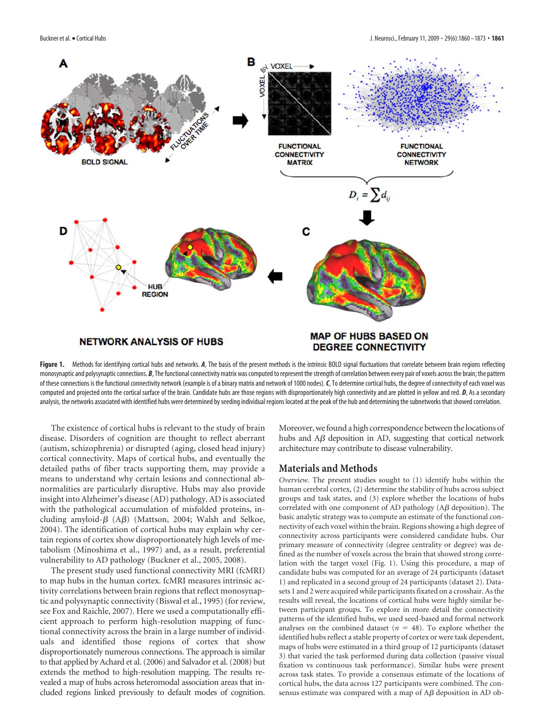

Figure 1. Methods for identifying cortical hubs and networks. A, The basis of the present methods is the intrinsic BOLD signal fluctuations that correlate between brain regions reflecting monosynaptic and polysynaptic connections. **B**, The functional connectivity matrix was computed to represent the strength of correlation between every pair of voxels across the brain; the pattern of these connections is the functional connectivity network (example is of a binary matrix and network of 1000 nodes).*C*, To determine cortical hubs, the degree of connectivity of each voxel was computed and projected onto the cortical surface of the brain. Candidate hubs are those regions with disproportionately high connectivity and are plotted in yellow and red. *D*, As a secondary analysis, the networks associated with identified hubs were determined by seeding individual regions located at the peak of the hub and determining the subnetworks that showed correlation.

The existence of cortical hubs is relevant to the study of brain disease. Disorders of cognition are thought to reflect aberrant (autism, schizophrenia) or disrupted (aging, closed head injury) cortical connectivity. Maps of cortical hubs, and eventually the detailed paths of fiber tracts supporting them, may provide a means to understand why certain lesions and connectional abnormalities are particularly disruptive. Hubs may also provide insight into Alzheimer's disease (AD) pathology. AD is associated with the pathological accumulation of misfolded proteins, including amyloid- $\beta$  (A $\beta$ ) (Mattson, 2004; Walsh and Selkoe, 2004). The identification of cortical hubs may explain why certain regions of cortex show disproportionately high levels of metabolism (Minoshima et al., 1997) and, as a result, preferential vulnerability to AD pathology (Buckner et al., 2005, 2008).

The present study used functional connectivity MRI (fcMRI) to map hubs in the human cortex. fcMRI measures intrinsic activity correlations between brain regions that reflect monosynaptic and polysynaptic connectivity (Biswal et al., 1995) (for review, see Fox and Raichle, 2007). Here we used a computationally efficient approach to perform high-resolution mapping of functional connectivity across the brain in a large number of individuals and identified those regions of cortex that show disproportionately numerous connections. The approach is similar to that applied by Achard et al. (2006) and Salvador et al. (2008) but extends the method to high-resolution mapping. The results revealed a map of hubs across heteromodal association areas that included regions linked previously to default modes of cognition.

Moreover, we found a high correspondence between the locations of hubs and  $\overrightarrow{AB}$  deposition in AD, suggesting that cortical network architecture may contribute to disease vulnerability.

### **Materials and Methods**

*Overview.* The present studies sought to (1) identify hubs within the human cerebral cortex, (2) determine the stability of hubs across subject groups and task states, and (3) explore whether the locations of hubs correlated with one component of AD pathology  $(A\beta$  deposition). The basic analytic strategy was to compute an estimate of the functional connectivity of each voxel within the brain. Regions showing a high degree of connectivity across participants were considered candidate hubs. Our primary measure of connectivity (degree centrality or degree) was defined as the number of voxels across the brain that showed strong correlation with the target voxel (Fig. 1). Using this procedure, a map of candidate hubs was computed for an average of 24 participants (dataset 1) and replicated in a second group of 24 participants (dataset 2). Datasets 1 and 2 were acquired while participants fixated on a crosshair. As the results will reveal, the locations of cortical hubs were highly similar between participant groups. To explore in more detail the connectivity patterns of the identified hubs, we used seed-based and formal network analyses on the combined dataset ( $n = 48$ ). To explore whether the identified hubs reflect a stable property of cortex or were task dependent, maps of hubs were estimated in a third group of 12 participants (dataset 3) that varied the task performed during data collection (passive visual fixation vs continuous task performance). Similar hubs were present across task states. To provide a consensus estimate of the locations of cortical hubs, the data across 127 participants were combined. The consensus estimate was compared with a map of  $A\beta$  deposition in AD ob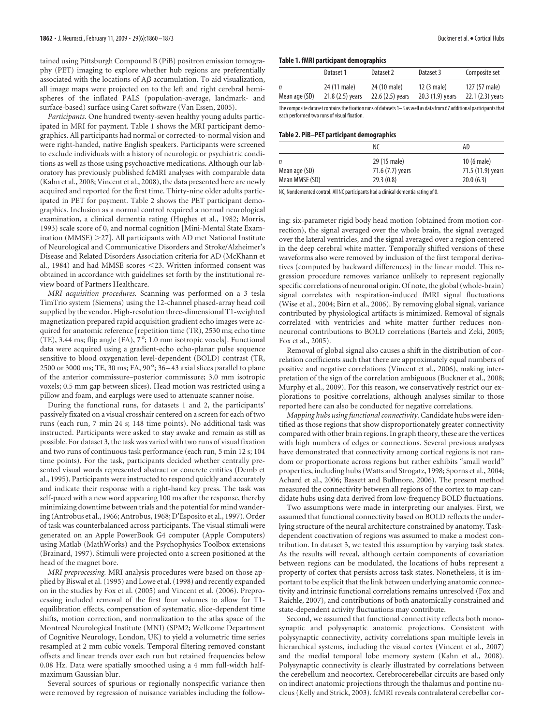tained using Pittsburgh Compound B (PiB) positron emission tomography (PET) imaging to explore whether hub regions are preferentially associated with the locations of  $A\beta$  accumulation. To aid visualization, all image maps were projected on to the left and right cerebral hemispheres of the inflated PALS (population-average, landmark- and surface-based) surface using Caret software (Van Essen, 2005).

*Participants.* One hundred twenty-seven healthy young adults participated in MRI for payment. Table 1 shows the MRI participant demographics. All participants had normal or corrected-to-normal vision and were right-handed, native English speakers. Participants were screened to exclude individuals with a history of neurologic or psychiatric conditions as well as those using psychoactive medications. Although our laboratory has previously published fcMRI analyses with comparable data (Kahn et al., 2008; Vincent et al., 2008), the data presented here are newly acquired and reported for the first time. Thirty-nine older adults participated in PET for payment. Table 2 shows the PET participant demographics. Inclusion as a normal control required a normal neurological examination, a clinical dementia rating (Hughes et al., 1982; Morris, 1993) scale score of 0, and normal cognition [Mini-Mental State Examination (MMSE) -27]. All participants with AD met National Institute of Neurological and Communicative Disorders and Stroke/Alzheimer's Disease and Related Disorders Association criteria for AD (McKhann et al., 1984) and had MMSE scores 23. Written informed consent was obtained in accordance with guidelines set forth by the institutional review board of Partners Healthcare.

*MRI acquisition procedures.* Scanning was performed on a 3 tesla TimTrio system (Siemens) using the 12-channel phased-array head coil supplied by the vendor. High-resolution three-dimensional T1-weighted magnetization prepared rapid acquisition gradient echo images were acquired for anatomic reference [repetition time (TR), 2530 ms; echo time (TE), 3.44 ms; flip angle (FA),  $7^{\circ}$ ; 1.0 mm isotropic voxels]. Functional data were acquired using a gradient-echo echo-planar pulse sequence sensitive to blood oxygenation level-dependent (BOLD) contrast (TR, 2500 or 3000 ms; TE, 30 ms; FA, 90°; 36-43 axial slices parallel to plane of the anterior commissure–posterior commissure; 3.0 mm isotropic voxels; 0.5 mm gap between slices). Head motion was restricted using a pillow and foam, and earplugs were used to attenuate scanner noise.

During the functional runs, for datasets 1 and 2, the participants' passively fixated on a visual crosshair centered on a screen for each of two runs (each run, 7 min 24 s; 148 time points). No additional task was instructed. Participants were asked to stay awake and remain as still as possible. For dataset 3, the task was varied with two runs of visual fixation and two runs of continuous task performance (each run, 5 min 12 s; 104 time points). For the task, participants decided whether centrally presented visual words represented abstract or concrete entities (Demb et al., 1995). Participants were instructed to respond quickly and accurately and indicate their response with a right-hand key press. The task was self-paced with a new word appearing 100 ms after the response, thereby minimizing downtime between trials and the potential for mind wandering (Antrobus et al., 1966; Antrobus, 1968; D'Esposito et al., 1997). Order of task was counterbalanced across participants. The visual stimuli were generated on an Apple PowerBook G4 computer (Apple Computers) using Matlab (MathWorks) and the Psychophysics Toolbox extensions (Brainard, 1997). Stimuli were projected onto a screen positioned at the head of the magnet bore.

*MRI preprocessing.* MRI analysis procedures were based on those applied by Biswal et al. (1995) and Lowe et al. (1998) and recently expanded on in the studies by Fox et al. (2005) and Vincent et al. (2006). Preprocessing included removal of the first four volumes to allow for T1 equilibration effects, compensation of systematic, slice-dependent time shifts, motion correction, and normalization to the atlas space of the Montreal Neurological Institute (MNI) (SPM2; Wellcome Department of Cognitive Neurology, London, UK) to yield a volumetric time series resampled at 2 mm cubic voxels. Temporal filtering removed constant offsets and linear trends over each run but retained frequencies below 0.08 Hz. Data were spatially smoothed using a 4 mm full-width halfmaximum Gaussian blur.

Several sources of spurious or regionally nonspecific variance then were removed by regression of nuisance variables including the follow-

|  |  |  | Table 1. fMRI participant demographics |  |
|--|--|--|----------------------------------------|--|
|--|--|--|----------------------------------------|--|

|                    | Dataset 1                                                                                   | Dataset 2                        | Dataset 3                       | Composite set                     |
|--------------------|---------------------------------------------------------------------------------------------|----------------------------------|---------------------------------|-----------------------------------|
| n<br>Mean age (SD) | 24 (11 male)<br>21.8 (2.5) years                                                            | 24 (10 male)<br>22.6 (2.5) years | 12 (3 male)<br>20.3 (1.9) years | 127 (57 male)<br>22.1 (2.3) years |
|                    | アレーション こうかん しょうしょうしょう しょうしょう こうせい アール・エスト しょうしょう カー・コール しょうしょう そうしょう アファル おうしょうしょう はっきょうしょう |                                  |                                 |                                   |

The composite dataset contains the fixation runs of datasets 1–3 as well as data from 67 additional participants that each performed two runs of visual fixation.

#### **Table 2. PiB–PET participant demographics**

|                | NC               | AD                |
|----------------|------------------|-------------------|
| n              | 29 (15 male)     | 10 (6 male)       |
| Mean age (SD)  | 71.6 (7.7) years | 71.5 (11.9) years |
| Mean MMSE (SD) | 29.3(0.8)        | 20.0(6.3)         |

NC, Nondemented control. All NC participants had a clinical dementia rating of 0.

ing: six-parameter rigid body head motion (obtained from motion correction), the signal averaged over the whole brain, the signal averaged over the lateral ventricles, and the signal averaged over a region centered in the deep cerebral white matter. Temporally shifted versions of these waveforms also were removed by inclusion of the first temporal derivatives (computed by backward differences) in the linear model. This regression procedure removes variance unlikely to represent regionally specific correlations of neuronal origin. Of note, the global (whole-brain) signal correlates with respiration-induced fMRI signal fluctuations (Wise et al., 2004; Birn et al., 2006). By removing global signal, variance contributed by physiological artifacts is minimized. Removal of signals correlated with ventricles and white matter further reduces nonneuronal contributions to BOLD correlations (Bartels and Zeki, 2005; Fox et al., 2005).

Removal of global signal also causes a shift in the distribution of correlation coefficients such that there are approximately equal numbers of positive and negative correlations (Vincent et al., 2006), making interpretation of the sign of the correlation ambiguous (Buckner et al., 2008; Murphy et al., 2009). For this reason, we conservatively restrict our explorations to positive correlations, although analyses similar to those reported here can also be conducted for negative correlations.

*Mapping hubs using functional connectivity.* Candidate hubs were identified as those regions that show disproportionately greater connectivity compared with other brain regions. In graph theory, these are the vertices with high numbers of edges or connections. Several previous analyses have demonstrated that connectivity among cortical regions is not random or proportionate across regions but rather exhibits "small world" properties, including hubs (Watts and Strogatz, 1998; Sporns et al., 2004; Achard et al., 2006; Bassett and Bullmore, 2006). The present method measured the connectivity between all regions of the cortex to map candidate hubs using data derived from low-frequency BOLD fluctuations.

Two assumptions were made in interpreting our analyses. First, we assumed that functional connectivity based on BOLD reflects the underlying structure of the neural architecture constrained by anatomy. Taskdependent coactivation of regions was assumed to make a modest contribution. In dataset 3, we tested this assumption by varying task states. As the results will reveal, although certain components of covariation between regions can be modulated, the locations of hubs represent a property of cortex that persists across task states. Nonetheless, it is important to be explicit that the link between underlying anatomic connectivity and intrinsic functional correlations remains unresolved (Fox and Raichle, 2007), and contributions of both anatomically constrained and state-dependent activity fluctuations may contribute.

Second, we assumed that functional connectivity reflects both monosynaptic and polysynaptic anatomic projections. Consistent with polysynaptic connectivity, activity correlations span multiple levels in hierarchical systems, including the visual cortex (Vincent et al., 2007) and the medial temporal lobe memory system (Kahn et al., 2008). Polysynaptic connectivity is clearly illustrated by correlations between the cerebellum and neocortex. Cerebrocerebellar circuits are based only on indirect anatomic projections through the thalamus and pontine nucleus (Kelly and Strick, 2003). fcMRI reveals contralateral cerebellar cor-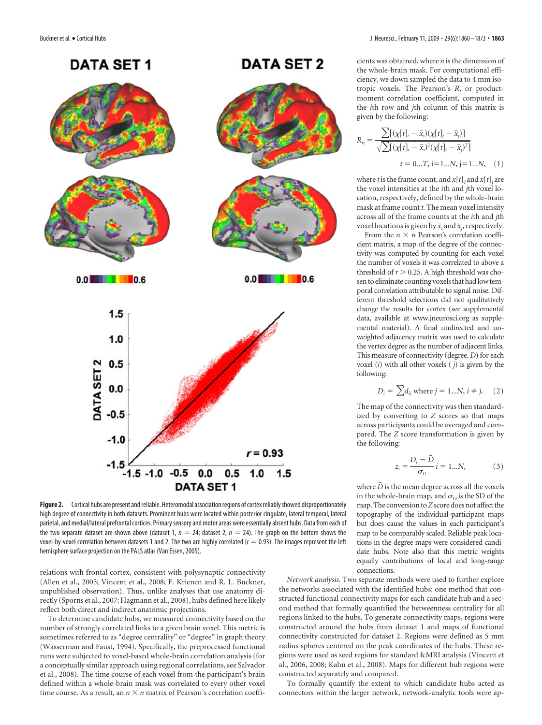

**Figure 2.** Cortical hubs are present and reliable. Heteromodal association regions of cortex reliablyshowed disproportionately high degree of connectivity in both datasets. Prominent hubs were located within posterior cingulate, lateral temporal, lateral parietal, and medial/lateral prefrontal cortices. Primarysensory and motor areas were essentially absent hubs. Data from each of the two separate dataset are shown above (dataset 1,  $n = 24$ ; dataset 2,  $n = 24$ ). The graph on the bottom shows the voxel-by-voxel correlation between datasets 1 and 2. The two are highly correlated  $(r = 0.93)$ . The images represent the left hemisphere surface projection on the PALS atlas (Van Essen, 2005).

relations with frontal cortex, consistent with polysynaptic connectivity (Allen et al., 2005; Vincent et al., 2008; F. Krienen and R. L. Buckner, unpublished observation). Thus, unlike analyses that use anatomy directly (Sporns et al., 2007; Hagmann et al., 2008), hubs defined here likely reflect both direct and indirect anatomic projections.

To determine candidate hubs, we measured connectivity based on the number of strongly correlated links to a given brain voxel. This metric is sometimes referred to as "degree centrality" or "degree" in graph theory (Wasserman and Faust, 1994). Specifically, the preprocessed functional runs were subjected to voxel-based whole-brain correlation analysis (for a conceptually similar approach using regional correlations, see Salvador et al., 2008). The time course of each voxel from the participant's brain defined within a whole-brain mask was correlated to every other voxel time course. As a result, an  $n \times n$  matrix of Pearson's correlation coefficients was obtained, where *n* is the dimension of the whole-brain mask. For computational efficiency, we down sampled the data to 4 mm isotropic voxels. The Pearson's *R*, or productmoment correlation coefficient, computed in the *i*th row and *j*th column of this matrix is given by the following:

$$
R_{ij} = \frac{\sum [(\chi[t]_i - \bar{x}_i)(\chi[t]_j - \bar{x}_j)]}{\sqrt{\sum [(\chi[t]_i - \bar{x}_i)^2(\chi[t]_j - \bar{x}_j)^2]}}
$$
  

$$
t = 0...T, i = 1...N, j = 1...N,
$$
 (1)

where *t* is the frame count, and  $x[t]$ <sup>*j*</sup> and  $x[t]$ <sup>*j*</sup> are the voxel intensities at the *i*th and *j*th voxel location, respectively, defined by the whole-brain mask at frame count *t.* The mean voxel intensity across all of the frame counts at the *i*th and *j*th voxel locations is given by  $\bar{x}_i$  and  $\bar{x}_j$ , respectively.

From the  $n \times n$  Pearson's correlation coefficient matrix, a map of the degree of the connectivity was computed by counting for each voxel the number of voxels it was correlated to above a threshold of  $r > 0.25$ . A high threshold was chosen to eliminate counting voxels that hadlow temporal correlation attributable to signal noise. Different threshold selections did not qualitatively change the results for cortex (see supplemental data, available at www.jneurosci.org as supplemental material). A final undirected and unweighted adjacency matrix was used to calculate the vertex degree as the number of adjacent links. This measure of connectivity (degree, *D*) for each voxel (*i*) with all other voxels ( *j*) is given by the following:

$$
D_i = \sum d_{ij}
$$
 where  $j = 1...N$ ,  $i \neq j$ . (2)

The map of the connectivity was then standardized by converting to *Z* scores so that maps across participants could be averaged and compared. The *Z* score transformation is given by the following:

$$
z_i = \frac{D_i - \bar{D}}{\sigma_D} \, i = 1...N,\tag{3}
$$

where  $\bar{D}$  is the mean degree across all the voxels in the whole-brain map, and  $\sigma_D$  is the SD of the map. The conversion to*Z*score does not affect the topography of the individual-participant maps but does cause the values in each participant's map to be comparably scaled. Reliable peak locations in the degree maps were considered candidate hubs. Note also that this metric weights equally contributions of local and long-range connections.

*Network analysis.* Two separate methods were used to further explore the networks associated with the identified hubs: one method that constructed functional connectivity maps for each candidate hub and a second method that formally quantified the betweenness centrality for all regions linked to the hubs. To generate connectivity maps, regions were constructed around the hubs from dataset 1 and maps of functional connectivity constructed for dataset 2. Regions were defined as 5 mm radius spheres centered on the peak coordinates of the hubs. These regions were used as seed regions for standard fcMRI analysis (Vincent et al., 2006, 2008; Kahn et al., 2008). Maps for different hub regions were constructed separately and compared.

To formally quantify the extent to which candidate hubs acted as connectors within the larger network, network-analytic tools were ap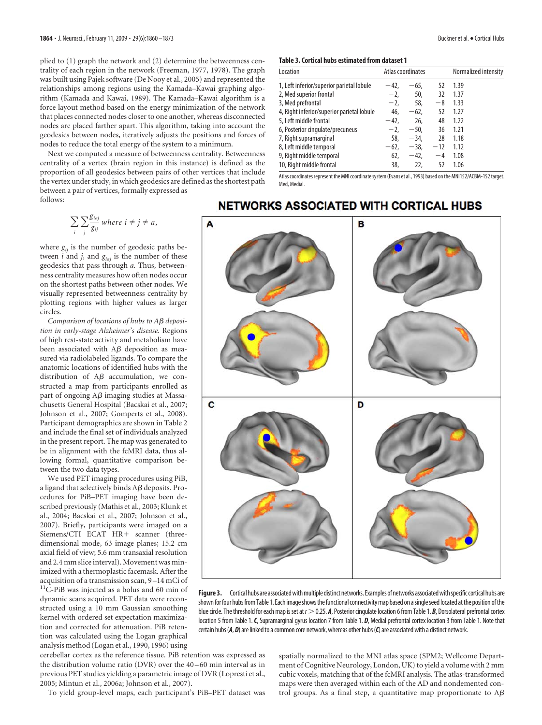plied to (1) graph the network and (2) determine the betweenness centrality of each region in the network (Freeman, 1977, 1978). The graph was built using Pajek software (De Nooy et al., 2005) and represented the relationships among regions using the Kamada–Kawai graphing algorithm (Kamada and Kawai, 1989). The Kamada–Kawai algorithm is a force layout method based on the energy minimization of the network that places connected nodes closer to one another, whereas disconnected nodes are placed farther apart. This algorithm, taking into account the geodesics between nodes, iteratively adjusts the positions and forces of nodes to reduce the total energy of the system to a minimum.

Next we computed a measure of betweenness centrality. Betweenness centrality of a vertex (brain region in this instance) is defined as the proportion of all geodesics between pairs of other vertices that include the vertex under study, in which geodesics are defined as the shortest path between a pair of vertices, formally expressed as follows:

#### **Table 3. Cortical hubs estimated from dataset 1**

| Atlas coordinates |        |       | Normalized intensity |
|-------------------|--------|-------|----------------------|
| $-42.$            | $-65,$ | 52    | 1.39                 |
| $-2$              | 50,    | 32    | 1.37                 |
| $-2$              | - 58,  | -8    | 1.33                 |
| 46,               | $-62,$ | 52    | 1.27                 |
| $-42,$            | 26,    | 48    | 1.22                 |
| $-2$              | $-50,$ | 36    | 1.21                 |
| 58.               | $-34.$ | 28    | 1.18                 |
| $-62.$            | $-38,$ | $-12$ | 1.12                 |
| 62,               | $-42,$ | $-4$  | 1.08                 |
| 38,               | 22,    | 52    | 1.06                 |
|                   |        |       |                      |

Atlas coordinates represent the MNI coordinate system (Evans et al., 1993) based on the MNI152/ACBM-152 target. Med, Medial.



where  $g_{ij}$  is the number of geodesic paths between *i* and *j*, and *giaj* is the number of these geodesics that pass through *a.* Thus, betweenness centrality measures how often nodes occur on the shortest paths between other nodes. We visually represented betweenness centrality by plotting regions with higher values as larger circles.

Comparison of locations of hubs to A<sub>B</sub> deposi*tion in early-stage Alzheimer's disease.* Regions of high rest-state activity and metabolism have been associated with  $A\beta$  deposition as measured via radiolabeled ligands. To compare the anatomic locations of identified hubs with the distribution of  $A\beta$  accumulation, we constructed a map from participants enrolled as part of ongoing  $A\beta$  imaging studies at Massachusetts General Hospital (Bacskai et al., 2007; Johnson et al., 2007; Gomperts et al., 2008). Participant demographics are shown in Table 2 and include the final set of individuals analyzed in the present report. The map was generated to be in alignment with the fcMRI data, thus allowing formal, quantitative comparison between the two data types.

We used PET imaging procedures using PiB, a ligand that selectively binds  $A\beta$  deposits. Procedures for PiB–PET imaging have been described previously (Mathis et al., 2003; Klunk et al., 2004; Bacskai et al., 2007; Johnson et al., 2007). Briefly, participants were imaged on a Siemens/CTI ECAT HR+ scanner (threedimensional mode, 63 image planes; 15.2 cm axial field of view; 5.6 mm transaxial resolution and 2.4 mm slice interval). Movement was minimized with a thermoplastic facemask. After the acquisition of a transmission scan, 9 –14 mCi of 11C-PiB was injected as a bolus and 60 min of dynamic scans acquired. PET data were reconstructed using a 10 mm Gaussian smoothing kernel with ordered set expectation maximization and corrected for attenuation. PiB retention was calculated using the Logan graphical analysis method (Logan et al., 1990, 1996) using

cerebellar cortex as the reference tissue. PiB retention was expressed as the distribution volume ratio (DVR) over the 40-60 min interval as in previous PET studies yielding a parametric image of DVR (Lopresti et al., 2005; Mintun et al., 2006a; Johnson et al., 2007).

To yield group-level maps, each participant's PiB–PET dataset was



Figure 3. Cortical hubs are associated with multiple distinct networks. Examples of networks associated with specific cortical hubs are shown for four hubs from Table 1. Each image shows the functional connectivity map based on a single seed located at the position of the blue circle. The threshold for each map is set at *r*  $>$  0.25. **A**, Posterior cingulate location 6 from Table 1. *B*, Dorsolateral prefrontal cortex location 5 from Table 1.*C*, Supramarginal gyrus location 7 from Table 1. *D*, Medial prefrontal cortex location 3 from Table 1. Note that certain hubs (*A*, *D*) are linked to a common core network, whereas other hubs (*C*) are associated with a distinct network.

spatially normalized to the MNI atlas space (SPM2; Wellcome Department of Cognitive Neurology, London, UK) to yield a volume with 2 mm cubic voxels, matching that of the fcMRI analysis. The atlas-transformed maps were then averaged within each of the AD and nondemented control groups. As a final step, a quantitative map proportionate to  $A\beta$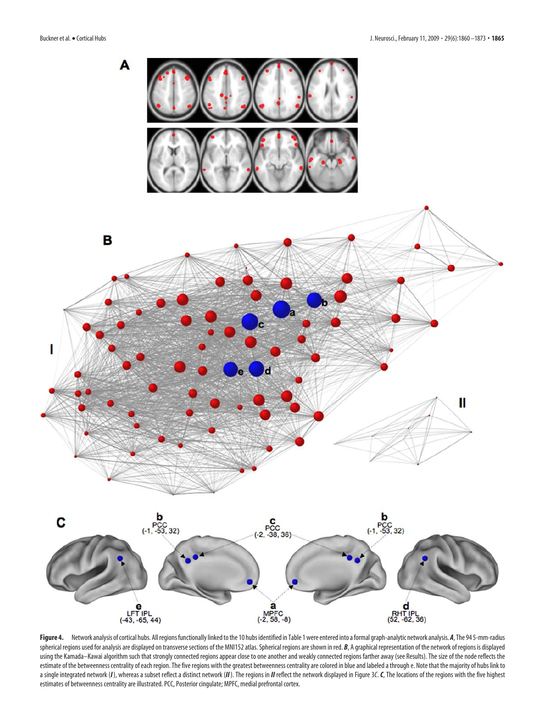

Figure 4. Network analysis of cortical hubs. All regions functionally linked to the 10 hubs identified in Table 1 were entered into a formal graph-analytic network analysis. *A*, The 94 5-mm-radius spherical regions used for analysis are displayed on transverse sections of the MNI152 atlas. Spherical regions are shown in red. *B*, A graphical representation of the network of regions is displayed using the Kamada–Kawai algorithm such that strongly connected regions appear close to one another and weakly connected regions farther away (see Results). The size of the node reflects the estimate of the betweenness centrality of each region. The five regions with the greatest betweenness centrality are colored in blue and labeled a through e. Note that the majority of hubs link to a single integrated network (I), whereas a subset reflect a distinct network (II). The regions in II reflect the network displayed in Figure 3C. C, The locations of the regions with the five highest estimates of betweenness centrality are illustrated. PCC, Posterior cingulate; MPFC, medial prefrontal cortex.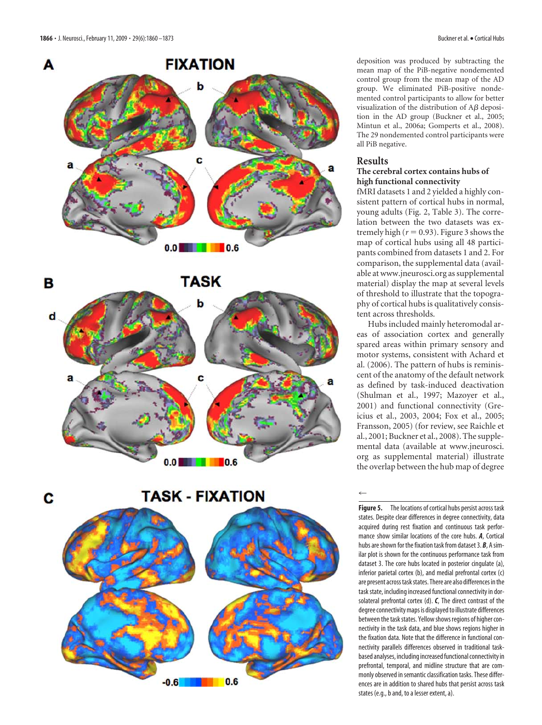



C



deposition was produced by subtracting the mean map of the PiB-negative nondemented control group from the mean map of the AD group. We eliminated PiB-positive nondemented control participants to allow for better visualization of the distribution of A deposition in the AD group (Buckner et al., 2005; Mintun et al., 2006a; Gomperts et al., 2008). The 29 nondemented control participants were all PiB negative.

#### **Results**

 $\leftarrow$ 

## **The cerebral cortex contains hubs of high functional connectivity**

fMRI datasets 1 and 2 yielded a highly consistent pattern of cortical hubs in normal, young adults (Fig. 2, Table 3). The correlation between the two datasets was extremely high ( $r = 0.93$ ). Figure 3 shows the map of cortical hubs using all 48 participants combined from datasets 1 and 2. For comparison, the supplemental data (available at www.jneurosci.org as supplemental material) display the map at several levels of threshold to illustrate that the topography of cortical hubs is qualitatively consistent across thresholds.

Hubs included mainly heteromodal areas of association cortex and generally spared areas within primary sensory and motor systems, consistent with Achard et al. (2006). The pattern of hubs is reminiscent of the anatomy of the default network as defined by task-induced deactivation (Shulman et al., 1997; Mazoyer et al., 2001) and functional connectivity (Greicius et al., 2003, 2004; Fox et al., 2005; Fransson, 2005) (for review, see Raichle et al., 2001; Buckner et al., 2008). The supplemental data (available at www.jneurosci. org as supplemental material) illustrate the overlap between the hub map of degree

**Figure 5.** The locations of cortical hubs persist across task states. Despite clear differences in degree connectivity, data acquired during rest fixation and continuous task performance show similar locations of the core hubs. *A*, Cortical hubs are shown for the fixation task from dataset 3. **B**, A similar plot is shown for the continuous performance task from dataset 3. The core hubs located in posterior cingulate (a), inferior parietal cortex (b), and medial prefrontal cortex (c) are present across task states. There are also differences in the task state, including increased functional connectivity in dorsolateral prefrontal cortex (d). *C*, The direct contrast of the degree connectivity maps is displayed to illustrate differences between the task states. Yellow shows regions of higher connectivity in the task data, and blue shows regions higher in the fixation data. Note that the difference in functional connectivity parallels differences observed in traditional taskbased analyses, including increased functional connectivity in prefrontal, temporal, and midline structure that are commonly observed in semantic classification tasks. These differences are in addition to shared hubs that persist across task states (e.g., b and, to a lesser extent, a).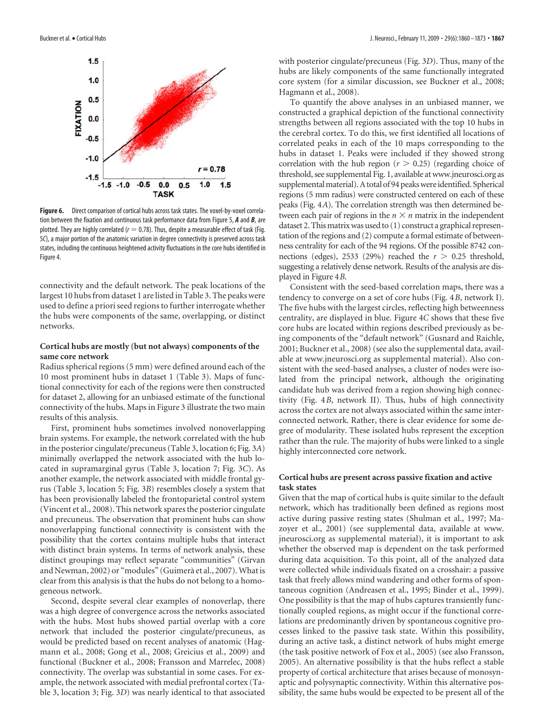

**Figure 6.** Direct comparison of cortical hubs across task states. The voxel-by-voxel correlation between the fixation and continuous task performance data from Figure 5, *A* and *B*, are plotted. They are highly correlated ( $r = 0.78$ ). Thus, despite a measurable effect of task (Fig. 5*C*), a major portion of the anatomic variation in degree connectivity is preserved across task states, including the continuous heightened activity fluctuations in the core hubs identified in Figure 4.

connectivity and the default network. The peak locations of the largest 10 hubs from dataset 1 are listed in Table 3. The peaks were used to define a priori seed regions to further interrogate whether the hubs were components of the same, overlapping, or distinct networks.

#### **Cortical hubs are mostly (but not always) components of the same core network**

Radius spherical regions (5 mm) were defined around each of the 10 most prominent hubs in dataset 1 (Table 3). Maps of functional connectivity for each of the regions were then constructed for dataset 2, allowing for an unbiased estimate of the functional connectivity of the hubs. Maps in Figure 3 illustrate the two main results of this analysis.

First, prominent hubs sometimes involved nonoverlapping brain systems. For example, the network correlated with the hub in the posterior cingulate/precuneus (Table 3, location 6; Fig. 3*A*) minimally overlapped the network associated with the hub located in supramarginal gyrus (Table 3, location 7; Fig. 3*C*). As another example, the network associated with middle frontal gyrus (Table 3, location 5; Fig. 3*B*) resembles closely a system that has been provisionally labeled the frontoparietal control system (Vincent et al., 2008). This network spares the posterior cingulate and precuneus. The observation that prominent hubs can show nonoverlapping functional connectivity is consistent with the possibility that the cortex contains multiple hubs that interact with distinct brain systems. In terms of network analysis, these distinct groupings may reflect separate "communities" (Girvan and Newman, 2002) or "modules" (Guimerà et al., 2007). What is clear from this analysis is that the hubs do not belong to a homogeneous network.

Second, despite several clear examples of nonoverlap, there was a high degree of convergence across the networks associated with the hubs. Most hubs showed partial overlap with a core network that included the posterior cingulate/precuneus, as would be predicted based on recent analyses of anatomic (Hagmann et al., 2008; Gong et al., 2008; Greicius et al., 2009) and functional (Buckner et al., 2008; Fransson and Marrelec, 2008) connectivity. The overlap was substantial in some cases. For example, the network associated with medial prefrontal cortex (Table 3, location 3; Fig. 3*D*) was nearly identical to that associated

with posterior cingulate/precuneus (Fig. 3*D*). Thus, many of the hubs are likely components of the same functionally integrated core system (for a similar discussion, see Buckner et al., 2008; Hagmann et al., 2008).

To quantify the above analyses in an unbiased manner, we constructed a graphical depiction of the functional connectivity strengths between all regions associated with the top 10 hubs in the cerebral cortex. To do this, we first identified all locations of correlated peaks in each of the 10 maps corresponding to the hubs in dataset 1. Peaks were included if they showed strong correlation with the hub region  $(r > 0.25)$  (regarding choice of threshold, see supplemental Fig. 1, available at www.jneurosci.org as supplemental material). A total of 94 peaks were identified. Spherical regions (5 mm radius) were constructed centered on each of these peaks (Fig. 4*A*). The correlation strength was then determined between each pair of regions in the  $n \times n$  matrix in the independent dataset 2. This matrix was used to (1) construct a graphical representation of the regions and (2) compute a formal estimate of betweenness centrality for each of the 94 regions. Of the possible 8742 connections (edges), 2533 (29%) reached the  $r > 0.25$  threshold, suggesting a relatively dense network. Results of the analysis are displayed in Figure 4*B*.

Consistent with the seed-based correlation maps, there was a tendency to converge on a set of core hubs (Fig. 4*B*, network I). The five hubs with the largest circles, reflecting high betweenness centrality, are displayed in blue. Figure 4*C* shows that these five core hubs are located within regions described previously as being components of the "default network" (Gusnard and Raichle, 2001; Buckner et al., 2008) (see also the supplemental data, available at www.jneurosci.org as supplemental material). Also consistent with the seed-based analyses, a cluster of nodes were isolated from the principal network, although the originating candidate hub was derived from a region showing high connectivity (Fig. 4*B*, network II). Thus, hubs of high connectivity across the cortex are not always associated within the same interconnected network. Rather, there is clear evidence for some degree of modularity. These isolated hubs represent the exception rather than the rule. The majority of hubs were linked to a single highly interconnected core network.

## **Cortical hubs are present across passive fixation and active task states**

Given that the map of cortical hubs is quite similar to the default network, which has traditionally been defined as regions most active during passive resting states (Shulman et al., 1997; Mazoyer et al., 2001) (see supplemental data, available at www. jneurosci.org as supplemental material), it is important to ask whether the observed map is dependent on the task performed during data acquisition. To this point, all of the analyzed data were collected while individuals fixated on a crosshair: a passive task that freely allows mind wandering and other forms of spontaneous cognition (Andreasen et al., 1995; Binder et al., 1999). One possibility is that the map of hubs captures transiently functionally coupled regions, as might occur if the functional correlations are predominantly driven by spontaneous cognitive processes linked to the passive task state. Within this possibility, during an active task, a distinct network of hubs might emerge (the task positive network of Fox et al., 2005) (see also Fransson, 2005). An alternative possibility is that the hubs reflect a stable property of cortical architecture that arises because of monosynaptic and polysynaptic connectivity. Within this alternative possibility, the same hubs would be expected to be present all of the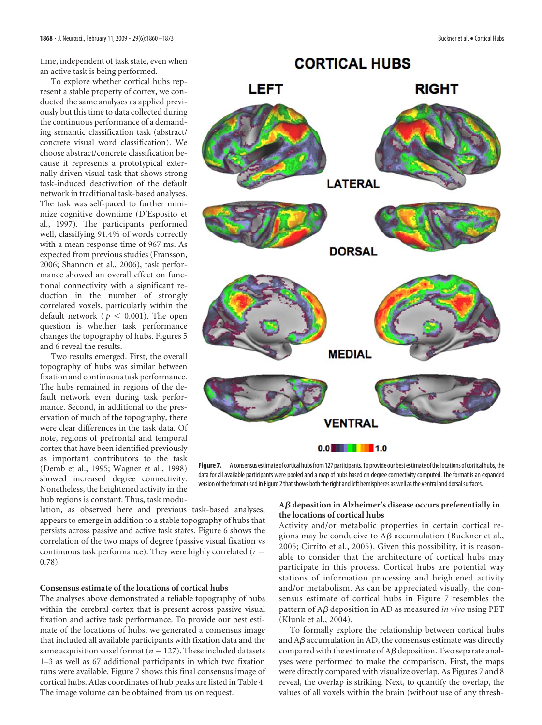time, independent of task state, even when an active task is being performed.

To explore whether cortical hubs represent a stable property of cortex, we conducted the same analyses as applied previously but this time to data collected during the continuous performance of a demanding semantic classification task (abstract/ concrete visual word classification). We choose abstract/concrete classification because it represents a prototypical externally driven visual task that shows strong task-induced deactivation of the default network in traditional task-based analyses. The task was self-paced to further minimize cognitive downtime (D'Esposito et al., 1997). The participants performed well, classifying 91.4% of words correctly with a mean response time of 967 ms. As expected from previous studies (Fransson, 2006; Shannon et al., 2006), task performance showed an overall effect on functional connectivity with a significant reduction in the number of strongly correlated voxels, particularly within the default network ( $p < 0.001$ ). The open question is whether task performance changes the topography of hubs. Figures 5 and 6 reveal the results.

Two results emerged. First, the overall topography of hubs was similar between fixation and continuous task performance. The hubs remained in regions of the default network even during task performance. Second, in additional to the preservation of much of the topography, there were clear differences in the task data. Of note, regions of prefrontal and temporal cortex that have been identified previously as important contributors to the task (Demb et al., 1995; Wagner et al., 1998) showed increased degree connectivity. Nonetheless, the heightened activity in the hub regions is constant. Thus, task modu-



Figure 7. A consensus estimate of cortical hubs from 127 participants. To provide our best estimate of the locations of cortical hubs, the data for all available participants were pooled and a map of hubs based on degree connectivity computed. The format is an expanded version of the format used in Figure 2 that shows both the right and left hemispheres as well as the ventral and dorsal surfaces.

lation, as observed here and previous task-based analyses, appears to emerge in addition to a stable topography of hubs that persists across passive and active task states. Figure 6 shows the correlation of the two maps of degree (passive visual fixation vs continuous task performance). They were highly correlated (*r* 0.78).

#### **Consensus estimate of the locations of cortical hubs**

The analyses above demonstrated a reliable topography of hubs within the cerebral cortex that is present across passive visual fixation and active task performance. To provide our best estimate of the locations of hubs, we generated a consensus image that included all available participants with fixation data and the same acquisition voxel format ( $n = 127$ ). These included datasets 1–3 as well as 67 additional participants in which two fixation runs were available. Figure 7 shows this final consensus image of cortical hubs. Atlas coordinates of hub peaks are listed in Table 4. The image volume can be obtained from us on request.

## **A deposition in Alzheimer's disease occurs preferentially in the locations of cortical hubs**

Activity and/or metabolic properties in certain cortical regions may be conducive to  $A\beta$  accumulation (Buckner et al., 2005; Cirrito et al., 2005). Given this possibility, it is reasonable to consider that the architecture of cortical hubs may participate in this process. Cortical hubs are potential way stations of information processing and heightened activity and/or metabolism. As can be appreciated visually, the consensus estimate of cortical hubs in Figure 7 resembles the pattern of A $\beta$  deposition in AD as measured *in vivo* using PET (Klunk et al., 2004).

To formally explore the relationship between cortical hubs and  $A\beta$  accumulation in AD, the consensus estimate was directly compared with the estimate of  $A\beta$  deposition. Two separate analyses were performed to make the comparison. First, the maps were directly compared with visualize overlap. As Figures 7 and 8 reveal, the overlap is striking. Next, to quantify the overlap, the values of all voxels within the brain (without use of any thresh-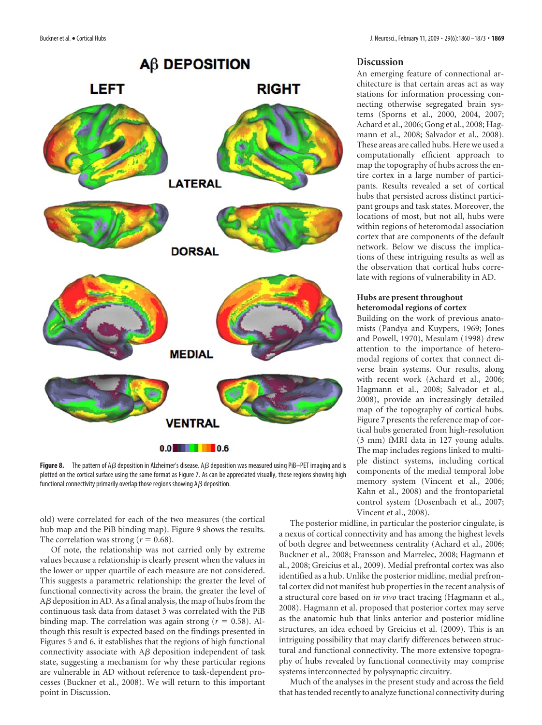

 $0.0$  0.6

**MEDIAL** 

**Figure 8.** The pattern of A $\beta$  deposition in Alzheimer's disease. A $\beta$  deposition was measured using PiB–PET imaging and is plotted on the cortical surface using the same format as Figure 7. As can be appreciated visually, those regions showing high functional connectivity primarily overlap those regions showing  $AB$  deposition.

**VENTRAL** 

old) were correlated for each of the two measures (the cortical hub map and the PiB binding map). Figure 9 shows the results. The correlation was strong ( $r = 0.68$ ).

Of note, the relationship was not carried only by extreme values because a relationship is clearly present when the values in the lower or upper quartile of each measure are not considered. This suggests a parametric relationship: the greater the level of functional connectivity across the brain, the greater the level of  $A\beta$  deposition in AD. As a final analysis, the map of hubs from the continuous task data from dataset 3 was correlated with the PiB binding map. The correlation was again strong  $(r = 0.58)$ . Although this result is expected based on the findings presented in Figures 5 and 6, it establishes that the regions of high functional connectivity associate with  $\overrightarrow{AB}$  deposition independent of task state, suggesting a mechanism for why these particular regions are vulnerable in AD without reference to task-dependent processes (Buckner et al., 2008). We will return to this important point in Discussion.

## **Discussion**

An emerging feature of connectional architecture is that certain areas act as way stations for information processing connecting otherwise segregated brain systems (Sporns et al., 2000, 2004, 2007; Achard et al., 2006; Gong et al., 2008; Hagmann et al., 2008; Salvador et al., 2008). These areas are called hubs. Here we used a computationally efficient approach to map the topography of hubs across the entire cortex in a large number of participants. Results revealed a set of cortical hubs that persisted across distinct participant groups and task states. Moreover, the locations of most, but not all, hubs were within regions of heteromodal association cortex that are components of the default network. Below we discuss the implications of these intriguing results as well as the observation that cortical hubs correlate with regions of vulnerability in AD.

#### **Hubs are present throughout heteromodal regions of cortex**

Building on the work of previous anatomists (Pandya and Kuypers, 1969; Jones and Powell, 1970), Mesulam (1998) drew attention to the importance of heteromodal regions of cortex that connect diverse brain systems. Our results, along with recent work (Achard et al., 2006; Hagmann et al., 2008; Salvador et al., 2008), provide an increasingly detailed map of the topography of cortical hubs. Figure 7 presents the reference map of cortical hubs generated from high-resolution (3 mm) fMRI data in 127 young adults. The map includes regions linked to multiple distinct systems, including cortical components of the medial temporal lobe memory system (Vincent et al., 2006; Kahn et al., 2008) and the frontoparietal control system (Dosenbach et al., 2007; Vincent et al., 2008).

The posterior midline, in particular the posterior cingulate, is a nexus of cortical connectivity and has among the highest levels of both degree and betweenness centrality (Achard et al., 2006; Buckner et al., 2008; Fransson and Marrelec, 2008; Hagmann et al., 2008; Greicius et al., 2009). Medial prefrontal cortex was also identified as a hub. Unlike the posterior midline, medial prefrontal cortex did not manifest hub properties in the recent analysis of a structural core based on *in vivo* tract tracing (Hagmann et al., 2008). Hagmann et al. proposed that posterior cortex may serve as the anatomic hub that links anterior and posterior midline structures, an idea echoed by Greicius et al. (2009). This is an intriguing possibility that may clarify differences between structural and functional connectivity. The more extensive topography of hubs revealed by functional connectivity may comprise systems interconnected by polysynaptic circuitry.

Much of the analyses in the present study and across the field that has tended recently to analyze functional connectivity during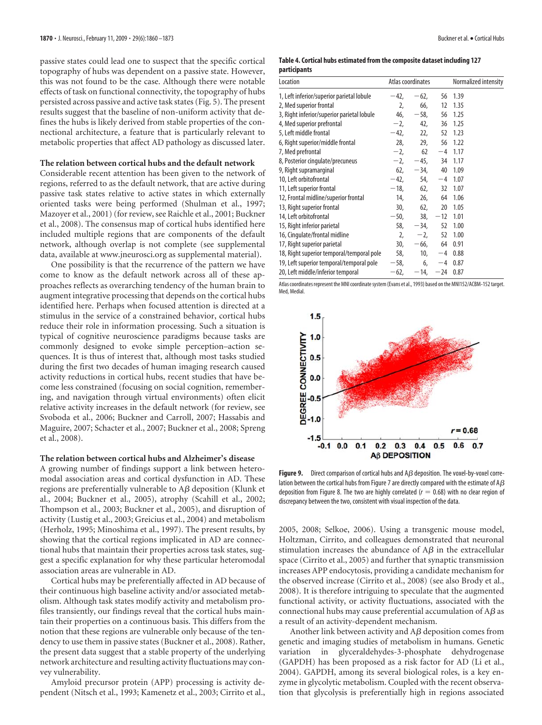passive states could lead one to suspect that the specific cortical topography of hubs was dependent on a passive state. However, this was not found to be the case. Although there were notable effects of task on functional connectivity, the topography of hubs persisted across passive and active task states (Fig. 5). The present results suggest that the baseline of non-uniform activity that defines the hubs is likely derived from stable properties of the connectional architecture, a feature that is particularly relevant to metabolic properties that affect AD pathology as discussed later.

#### **The relation between cortical hubs and the default network**

Considerable recent attention has been given to the network of regions, referred to as the default network, that are active during passive task states relative to active states in which externally oriented tasks were being performed (Shulman et al., 1997; Mazoyer et al., 2001) (for review, see Raichle et al., 2001; Buckner et al., 2008). The consensus map of cortical hubs identified here included multiple regions that are components of the default network, although overlap is not complete (see supplemental data, available at www.jneurosci.org as supplemental material).

One possibility is that the recurrence of the pattern we have come to know as the default network across all of these approaches reflects as overarching tendency of the human brain to augment integrative processing that depends on the cortical hubs identified here. Perhaps when focused attention is directed at a stimulus in the service of a constrained behavior, cortical hubs reduce their role in information processing. Such a situation is typical of cognitive neuroscience paradigms because tasks are commonly designed to evoke simple perception–action sequences. It is thus of interest that, although most tasks studied during the first two decades of human imaging research caused activity reductions in cortical hubs, recent studies that have become less constrained (focusing on social cognition, remembering, and navigation through virtual environments) often elicit relative activity increases in the default network (for review, see Svoboda et al., 2006; Buckner and Carroll, 2007; Hassabis and Maguire, 2007; Schacter et al., 2007; Buckner et al., 2008; Spreng et al., 2008).

#### **The relation between cortical hubs and Alzheimer's disease**

A growing number of findings support a link between heteromodal association areas and cortical dysfunction in AD. These regions are preferentially vulnerable to  $A\beta$  deposition (Klunk et al., 2004; Buckner et al., 2005), atrophy (Scahill et al., 2002; Thompson et al., 2003; Buckner et al., 2005), and disruption of activity (Lustig et al., 2003; Greicius et al., 2004) and metabolism (Herholz, 1995; Minoshima et al., 1997). The present results, by showing that the cortical regions implicated in AD are connectional hubs that maintain their properties across task states, suggest a specific explanation for why these particular heteromodal association areas are vulnerable in AD.

Cortical hubs may be preferentially affected in AD because of their continuous high baseline activity and/or associated metabolism. Although task states modify activity and metabolism profiles transiently, our findings reveal that the cortical hubs maintain their properties on a continuous basis. This differs from the notion that these regions are vulnerable only because of the tendency to use them in passive states (Buckner et al., 2008). Rather, the present data suggest that a stable property of the underlying network architecture and resulting activity fluctuations may convey vulnerability.

Amyloid precursor protein (APP) processing is activity dependent (Nitsch et al., 1993; Kamenetz et al., 2003; Cirrito et al.,

#### **Table 4. Cortical hubs estimated from the composite dataset including 127 participants**

| Location                                                          |                     | Atlas coordinates      |             | Normalized intensity |
|-------------------------------------------------------------------|---------------------|------------------------|-------------|----------------------|
| 1, Left inferior/superior parietal lobule                         | $-42,$              | $-62,$ 56 1.39         |             |                      |
| 2, Med superior frontal                                           | 2,                  |                        | 66, 12 1.35 |                      |
| 3, Right inferior/superior parietal lobule                        |                     | $46, -58, 56$ 1.25     |             |                      |
| 4, Med superior prefrontal                                        |                     | $-2$ , 42, 36 1.25     |             |                      |
| 5, Left middle frontal                                            |                     | $-42,$ 22, 52 1.23     |             |                      |
| 6, Right superior/middle frontal                                  |                     | 28, 29, 56 1.22        |             |                      |
| 7, Med prefrontal                                                 |                     | $-2, 62$               |             | $-4$ 1.17            |
| 8, Posterior cingulate/precuneus                                  | $-2, -45, 34, 1.17$ |                        |             |                      |
| 9, Right supramarginal                                            | $62, -34, 40$ 1.09  |                        |             |                      |
| 10, Left orbitofrontal                                            |                     | $-42,$ 54, $-4$ 1.07   |             |                      |
| 11, Left superior frontal                                         |                     | $-18$ , 62, 32 1.07    |             |                      |
| 12, Frontal midline/superior frontal                              | 14, 26, 64 1.06     |                        |             |                      |
| 13, Right superior frontal                                        |                     | 30, 62, 20 1.05        |             |                      |
| 14, Left orbitofrontal                                            |                     | $-50$ , 38, $-12$ 1.01 |             |                      |
| 15, Right inferior parietal                                       |                     | $58, -34, 52$ 1.00     |             |                      |
| 16, Cingulate/frontal midline                                     | $2, -2, 52$ 1.00    |                        |             |                      |
| 17, Right superior parietal                                       | $30, -66, 64, 0.91$ |                        |             |                      |
| 18, Right superior temporal/temporal pole $58$ , $10$ , $-4$ 0.88 |                     |                        |             |                      |
| 19, Left superior temporal/temporal pole                          |                     | $-58$ , 6, -4 0.87     |             |                      |
| 20, Left middle/inferior temporal                                 |                     | $-62, -14, -24, 0.87$  |             |                      |
|                                                                   |                     |                        |             |                      |

Atlas coordinates represent the MNI coordinate system (Evans et al., 1993) based on the MNI152/ACBM-152 target. Med, Medial.



**Figure 9.** Direct comparison of cortical hubs and  $\overline{AB}$  deposition. The voxel-by-voxel correlation between the cortical hubs from Figure 7 are directly compared with the estimate of  $A\beta$ deposition from Figure 8. The two are highly correlated ( $r = 0.68$ ) with no clear region of discrepancy between the two, consistent with visual inspection of the data.

2005, 2008; Selkoe, 2006). Using a transgenic mouse model, Holtzman, Cirrito, and colleagues demonstrated that neuronal stimulation increases the abundance of  $A\beta$  in the extracellular space (Cirrito et al., 2005) and further that synaptic transmission increases APP endocytosis, providing a candidate mechanism for the observed increase (Cirrito et al., 2008) (see also Brody et al., 2008). It is therefore intriguing to speculate that the augmented functional activity, or activity fluctuations, associated with the connectional hubs may cause preferential accumulation of  $A\beta$  as a result of an activity-dependent mechanism.

Another link between activity and  $A\beta$  deposition comes from genetic and imaging studies of metabolism in humans. Genetic variation in glyceraldehydes-3-phosphate dehydrogenase (GAPDH) has been proposed as a risk factor for AD (Li et al., 2004). GAPDH, among its several biological roles, is a key enzyme in glycolytic metabolism. Coupled with the recent observation that glycolysis is preferentially high in regions associated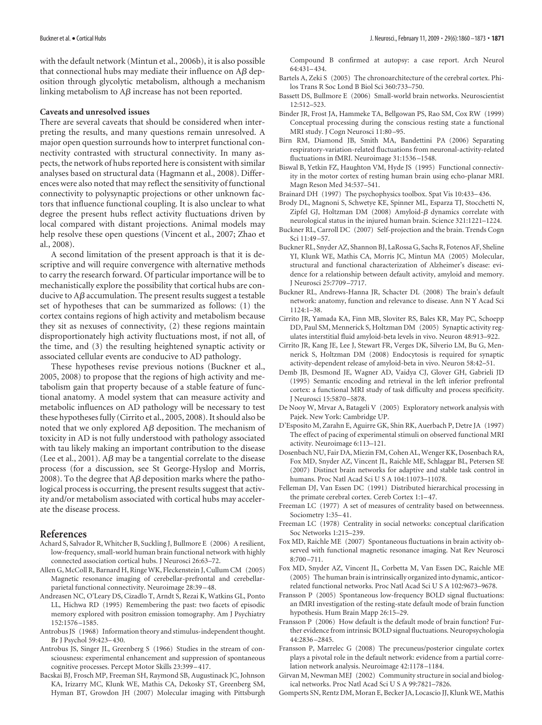with the default network (Mintun et al., 2006b), it is also possible that connectional hubs may mediate their influence on  $A\beta$  deposition through glycolytic metabolism, although a mechanism linking metabolism to  $A\beta$  increase has not been reported.

#### **Caveats and unresolved issues**

There are several caveats that should be considered when interpreting the results, and many questions remain unresolved. A major open question surrounds how to interpret functional connectivity contrasted with structural connectivity. In many aspects, the network of hubs reported here is consistent with similar analyses based on structural data (Hagmann et al., 2008). Differences were also noted that may reflect the sensitivity of functional connectivity to polysynaptic projections or other unknown factors that influence functional coupling. It is also unclear to what degree the present hubs reflect activity fluctuations driven by local compared with distant projections. Animal models may help resolve these open questions (Vincent et al., 2007; Zhao et al., 2008).

A second limitation of the present approach is that it is descriptive and will require convergence with alternative methods to carry the research forward. Of particular importance will be to mechanistically explore the possibility that cortical hubs are conducive to  $A\beta$  accumulation. The present results suggest a testable set of hypotheses that can be summarized as follows: (1) the cortex contains regions of high activity and metabolism because they sit as nexuses of connectivity, (2) these regions maintain disproportionately high activity fluctuations most, if not all, of the time, and (3) the resulting heightened synaptic activity or associated cellular events are conducive to AD pathology.

These hypotheses revise previous notions (Buckner et al., 2005, 2008) to propose that the regions of high activity and metabolism gain that property because of a stable feature of functional anatomy. A model system that can measure activity and metabolic influences on AD pathology will be necessary to test these hypotheses fully (Cirrito et al., 2005, 2008). It should also be noted that we only explored  $A\beta$  deposition. The mechanism of toxicity in AD is not fully understood with pathology associated with tau likely making an important contribution to the disease (Lee et al., 2001). A $\beta$  may be a tangential correlate to the disease process (for a discussion, see St George-Hyslop and Morris, 2008). To the degree that A $\beta$  deposition marks where the pathological process is occurring, the present results suggest that activity and/or metabolism associated with cortical hubs may accelerate the disease process.

#### **References**

- Achard S, Salvador R, Whitcher B, Suckling J, Bullmore E (2006) A resilient, low-frequency, small-world human brain functional network with highly connected association cortical hubs. J Neurosci 26:63–72.
- Allen G, McColl R, Barnard H, Ringe WK, Fleckenstein J, Cullum CM (2005) Magnetic resonance imaging of cerebellar-prefrontal and cerebellarparietal functional connectivity. Neuroimage 28:39 –48.
- Andreasen NC, O'Leary DS, Cizadlo T, Arndt S, Rezai K, Watkins GL, Ponto LL, Hichwa RD (1995) Remembering the past: two facets of episodic memory explored with positron emission tomography. Am J Psychiatry 152:1576 –1585.
- Antrobus JS (1968) Information theory and stimulus-independent thought. Br J Psychol 59:423–430.
- Antrobus JS, Singer JL, Greenberg S (1966) Studies in the stream of consciousness: experimental enhancement and suppression of spontaneous cognitive processes. Percept Motor Skills 23:399 –417.
- Bacskai BJ, Frosch MP, Freeman SH, Raymond SB, Augustinack JC, Johnson KA, Irizarry MC, Klunk WE, Mathis CA, Dekosky ST, Greenberg SM, Hyman BT, Growdon JH (2007) Molecular imaging with Pittsburgh

Compound B confirmed at autopsy: a case report. Arch Neurol 64:431–434.

- Bartels A, Zeki S (2005) The chronoarchitecture of the cerebral cortex. Philos Trans R Soc Lond B Biol Sci 360:733–750.
- Bassett DS, Bullmore E (2006) Small-world brain networks. Neuroscientist 12:512–523.
- Binder JR, Frost JA, Hammeke TA, Bellgowan PS, Rao SM, Cox RW (1999) Conceptual processing during the conscious resting state a functional MRI study. J Cogn Neurosci 11:80 –95.
- Birn RM, Diamond JB, Smith MA, Bandettini PA (2006) Separating respiratory-variation-related fluctuations from neuronal-activity-related fluctuations in fMRI. Neuroimage 31:1536 –1548.
- Biswal B, Yetkin FZ, Haughton VM, Hyde JS (1995) Functional connectivity in the motor cortex of resting human brain using echo-planar MRI. Magn Reson Med 34:537–541.
- Brainard DH (1997) The psychophysics toolbox. Spat Vis 10:433–436.
- Brody DL, Magnoni S, Schwetye KE, Spinner ML, Esparza TJ, Stocchetti N, Zipfel GJ, Holtzman DM (2008) Amyloid- $\beta$  dynamics correlate with neurological status in the injured human brain. Science 321:1221–1224.
- Buckner RL, Carroll DC (2007) Self-projection and the brain. Trends Cogn Sci 11:49 –57.
- Buckner RL, Snyder AZ, Shannon BJ, LaRossa G, Sachs R, Fotenos AF, Sheline YI, Klunk WE, Mathis CA, Morris JC, Mintun MA (2005) Molecular, structural and functional characterization of Alzheimer's disease: evidence for a relationship between default activity, amyloid and memory. J Neurosci 25:7709 –7717.
- Buckner RL, Andrews-Hanna JR, Schacter DL (2008) The brain's default network: anatomy, function and relevance to disease. Ann N Y Acad Sci 1124:1–38.
- Cirrito JR, Yamada KA, Finn MB, Sloviter RS, Bales KR, May PC, Schoepp DD, Paul SM, Mennerick S, Holtzman DM (2005) Synaptic activity regulates interstitial fluid amyloid-beta levels in vivo. Neuron 48:913–922.
- Cirrito JR, Kang JE, Lee J, Stewart FR, Verges DK, Silverio LM, Bu G, Mennerick S, Holtzman DM (2008) Endocytosis is required for synaptic activity-dependent release of amyloid-beta in vivo. Neuron 58:42–51.
- Demb JB, Desmond JE, Wagner AD, Vaidya CJ, Glover GH, Gabrieli JD (1995) Semantic encoding and retrieval in the left inferior prefrontal cortex: a functional MRI study of task difficulty and process specificity. J Neurosci 15:5870 –5878.
- De Nooy W, Mrvar A, Batageli V (2005) Exploratory network analysis with Pajek. New York: Cambridge UP.
- D'Esposito M, Zarahn E, Aguirre GK, Shin RK, Auerbach P, Detre JA (1997) The effect of pacing of experimental stimuli on observed functional MRI activity. Neuroimage 6:113–121.
- Dosenbach NU, Fair DA, Miezin FM, Cohen AL, Wenger KK, Dosenbach RA, Fox MD, Snyder AZ, Vincent JL, Raichle ME, Schlaggar BL, Petersen SE (2007) Distinct brain networks for adaptive and stable task control in humans. Proc Natl Acad Sci U S A 104:11073–11078.
- Felleman DJ, Van Essen DC (1991) Distributed hierarchical processing in the primate cerebral cortex. Cereb Cortex 1:1–47.
- Freeman LC (1977) A set of measures of centrality based on betweenness. Sociometry 1:35–41.
- Freeman LC (1978) Centrality in social networks: conceptual clarification Soc Networks 1:215–239.
- Fox MD, Raichle ME (2007) Spontaneous fluctuations in brain activity observed with functional magnetic resonance imaging. Nat Rev Neurosci  $8:700 - 711$ .
- Fox MD, Snyder AZ, Vincent JL, Corbetta M, Van Essen DC, Raichle ME (2005) The human brain is intrinsically organized into dynamic, anticorrelated functional networks. Proc Natl Acad Sci U S A 102:9673–9678.
- Fransson P (2005) Spontaneous low-frequency BOLD signal fluctuations: an fMRI investigation of the resting-state default mode of brain function hypothesis. Hum Brain Mapp 26:15–29.
- Fransson P (2006) How default is the default mode of brain function? Further evidence from intrinsic BOLD signal fluctuations. Neuropsychologia 44:2836 –2845.
- Fransson P, Marrelec G (2008) The precuneus/posterior cingulate cortex plays a pivotal role in the default network: evidence from a partial correlation network analysis. Neuroimage 42:1178 –1184.
- Girvan M, Newman MEJ (2002) Community structure in social and biological networks. Proc Natl Acad Sci U S A 99:7821–7826.
- Gomperts SN, Rentz DM, Moran E, Becker JA, Locascio JJ, Klunk WE, Mathis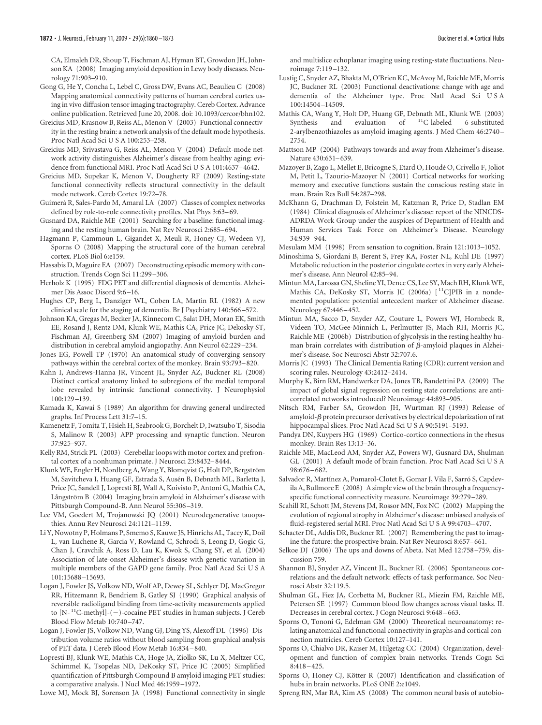CA, Elmaleh DR, Shoup T, Fischman AJ, Hyman BT, Growdon JH, Johnson KA (2008) Imaging amyloid deposition in Lewy body diseases. Neurology 71:903–910.

- Gong G, He Y, Concha L, Lebel C, Gross DW, Evans AC, Beaulieu C (2008) Mapping anatomical connectivity patterns of human cerebral cortex using in vivo diffusion tensor imaging tractography. Cereb Cortex. Advance online publication. Retrieved June 20, 2008. doi: 10.1093/cercor/bhn102.
- Greicius MD, Krasnow B, Reiss AL, Menon V (2003) Functional connectivity in the resting brain: a network analysis of the default mode hypothesis. Proc Natl Acad Sci U S A 100:253–258.
- Greicius MD, Srivastava G, Reiss AL, Menon V (2004) Default-mode network activity distinguishes Alzheimer's disease from healthy aging: evidence from functional MRI. Proc Natl Acad Sci U S A 101:4637–4642.
- Greicius MD, Supekar K, Menon V, Dougherty RF (2009) Resting-state functional connectivity reflects structural connectivity in the default mode network. Cereb Cortex 19:72–78.
- Guimerà R, Sales-Pardo M, Amaral LA (2007) Classes of complex networks defined by role-to-role connectivity profiles. Nat Phys 3:63–69.
- Gusnard DA, Raichle ME (2001) Searching for a baseline: functional imaging and the resting human brain. Nat Rev Neurosci 2:685–694.
- Hagmann P, Cammoun L, Gigandet X, Meuli R, Honey CJ, Wedeen VJ, Sporns O (2008) Mapping the structural core of the human cerebral cortex. PLoS Biol 6:e159.
- Hassabis D, Maguire EA (2007) Deconstructing episodic memory with construction. Trends Cogn Sci 11:299 –306.
- Herholz K (1995) FDG PET and differential diagnosis of dementia. Alzheimer Dis Assoc Disord 9:6 –16.
- Hughes CP, Berg L, Danziger WL, Coben LA, Martin RL (1982) A new clinical scale for the staging of dementia. Br J Psychiatry 140:566 –572.
- Johnson KA, Gregas M, Becker JA, Kinnecom C, Salat DH, Moran EK, Smith EE, Rosand J, Rentz DM, Klunk WE, Mathis CA, Price JC, Dekosky ST, Fischman AJ, Greenberg SM (2007) Imaging of amyloid burden and distribution in cerebral amyloid angiopathy. Ann Neurol 62:229 –234.
- Jones EG, Powell TP (1970) An anatomical study of converging sensory pathways within the cerebral cortex of the monkey. Brain 93:793–820.
- Kahn I, Andrews-Hanna JR, Vincent JL, Snyder AZ, Buckner RL (2008) Distinct cortical anatomy linked to subregions of the medial temporal lobe revealed by intrinsic functional connectivity. J Neurophysiol 100:129 –139.
- Kamada K, Kawai S (1989) An algorithm for drawing general undirected graphs. Inf Process Lett 31:7–15.
- Kamenetz F, Tomita T, Hsieh H, Seabrook G, Borchelt D, Iwatsubo T, Sisodia S, Malinow R (2003) APP processing and synaptic function. Neuron 37:925–937.
- Kelly RM, Strick PL (2003) Cerebellar loops with motor cortex and prefrontal cortex of a nonhuman primate. J Neurosci 23:8432–8444.
- Klunk WE, Engler H, Nordberg A, Wang Y, Blomqvist G, Holt DP, Bergström M, Savitcheva I, Huang GF, Estrada S, Ausén B, Debnath ML, Barletta J, Price JC, Sandell J, Lopresti BJ, Wall A, Koivisto P, Antoni G, Mathis CA, Långström B (2004) Imaging brain amyloid in Alzheimer's disease with Pittsburgh Compound-B. Ann Neurol 55:306 –319.
- Lee VM, Goedert M, Trojanowski JQ (2001) Neurodegenerative tauopathies. Annu Rev Neurosci 24:1121–1159.
- Li Y, Nowotny P, Holmans P, Smemo S, Kauwe JS, Hinrichs AL, Tacey K, Doil L, van Luchene R, Garcia V, Rowland C, Schrodi S, Leong D, Gogic G, Chan J, Cravchik A, Ross D, Lau K, Kwok S, Chang SY, et al. (2004) Association of late-onset Alzheimer's disease with genetic variation in multiple members of the GAPD gene family. Proc Natl Acad Sci U S A 101:15688 –15693.
- Logan J, Fowler JS, Volkow ND, Wolf AP, Dewey SL, Schlyer DJ, MacGregor RR, Hitzemann R, Bendriem B, Gatley SJ (1990) Graphical analysis of reversible radioligand binding from time-activity measurements applied to  $[N-$ <sup>11</sup>C-methyl]-(-)-cocaine PET studies in human subjects. J Cereb Blood Flow Metab 10:740 –747.
- Logan J, Fowler JS, Volkow ND, Wang GJ, Ding YS, Alexoff DL (1996) Distribution volume ratios without blood sampling from graphical analysis of PET data. J Cereb Blood Flow Metab 16:834 –840.
- Lopresti BJ, Klunk WE, Mathis CA, Hoge JA, Ziolko SK, Lu X, Meltzer CC, Schimmel K, Tsopelas ND, DeKosky ST, Price JC (2005) Simplified quantification of Pittsburgh Compound B amyloid imaging PET studies: a comparative analysis. J Nucl Med 46:1959 –1972.

Lowe MJ, Mock BJ, Sorenson JA (1998) Functional connectivity in single

and multislice echoplanar imaging using resting-state fluctuations. Neuroimage 7:119 –132.

- Lustig C, Snyder AZ, Bhakta M, O'Brien KC, McAvoy M, Raichle ME, Morris JC, Buckner RL (2003) Functional deactivations: change with age and dementia of the Alzheimer type. Proc Natl Acad Sci U S A 100:14504 –14509.
- Mathis CA, Wang Y, Holt DP, Huang GF, Debnath ML, Klunk WE (2003) Synthesis and evaluation of 11C-labeled 6-substituted 2-arylbenzothiazoles as amyloid imaging agents. J Med Chem 46:2740 – 2754.
- Mattson MP (2004) Pathways towards and away from Alzheimer's disease. Nature 430:631–639.
- Mazoyer B, Zago L, Mellet E, Bricogne S, Etard O, Houdé O, Crivello F, Joliot M, Petit L, Tzourio-Mazoyer N (2001) Cortical networks for working memory and executive functions sustain the conscious resting state in man. Brain Res Bull 54:287–298.
- McKhann G, Drachman D, Folstein M, Katzman R, Price D, Stadlan EM (1984) Clinical diagnosis of Alzheimer's disease: report of the NINCDS-ADRDA Work Group under the auspices of Department of Health and Human Services Task Force on Alzheimer's Disease. Neurology 34:939 –944.

Mesulam MM (1998) From sensation to cognition. Brain 121:1013–1052.

- Minoshima S, Giordani B, Berent S, Frey KA, Foster NL, Kuhl DE (1997) Metabolic reduction in the posterior cingulate cortex in very early Alzheimer's disease. Ann Neurol 42:85–94.
- Mintun MA, Larossa GN, Sheline YI, Dence CS, Lee SY, Mach RH, KlunkWE, Mathis CA, DeKosky ST, Morris JC (2006a) [ 11C]PIB in a nondemented population: potential antecedent marker of Alzheimer disease. Neurology 67:446 –452.
- Mintun MA, Sacco D, Snyder AZ, Couture L, Powers WJ, Hornbeck R, Videen TO, McGee-Minnich L, Perlmutter JS, Mach RH, Morris JC, Raichle ME (2006b) Distribution of glycolysis in the resting healthy human brain correlates with distribution of  $\beta$ -amyloid plaques in Alzheimer's disease. Soc Neurosci Abstr 32:707.6.
- Morris JC (1993) The Clinical Dementia Rating (CDR): current version and scoring rules. Neurology 43:2412–2414.
- Murphy K, Birn RM, Handwerker DA, Jones TB, Bandettini PA (2009) The impact of global signal regression on resting state correlations: are anticorrelated networks introduced? Neuroimage 44:893–905.
- Nitsch RM, Farber SA, Growdon JH, Wurtman RJ (1993) Release of amyloid- $\beta$  protein precursor derivatives by electrical depolarization of rat hippocampal slices. Proc Natl Acad Sci U S A 90:5191–5193.
- Pandya DN, Kuypers HG (1969) Cortico-cortico connections in the rhesus monkey. Brain Res 13:13–36.
- Raichle ME, MacLeod AM, Snyder AZ, Powers WJ, Gusnard DA, Shulman GL (2001) A default mode of brain function. Proc Natl Acad Sci U S A 98:676 –682.
- Salvador R, Martínez A, Pomarol-Clotet E, Gomar J, Vila F, Sarró S, Capdevila A, Bullmore E (2008) A simple view of the brain through a frequencyspecific functional connectivity measure. Neuroimage 39:279 –289.
- Scahill RI, Schott JM, Stevens JM, Rossor MN, Fox NC (2002) Mapping the evolution of regional atrophy in Alzheimer's disease: unbiased analysis of fluid-registered serial MRI. Proc Natl Acad Sci U S A 99:4703–4707.
- Schacter DL, Addis DR, Buckner RL (2007) Remembering the past to imagine the future: the prospective brain. Nat Rev Neurosci 8:657–661.
- Selkoe DJ (2006) The ups and downs of Abeta. Nat Med 12:758 –759, discussion 759.
- Shannon BJ, Snyder AZ, Vincent JL, Buckner RL (2006) Spontaneous correlations and the default network: effects of task performance. Soc Neurosci Abstr 32:119.5.
- Shulman GL, Fiez JA, Corbetta M, Buckner RL, Miezin FM, Raichle ME, Petersen SE (1997) Common blood flow changes across visual tasks. II. Decreases in cerebral cortex. J Cogn Neurosci 9:648 –663.
- Sporns O, Tononi G, Edelman GM (2000) Theoretical neuroanatomy: relating anatomical and functional connectivity in graphs and cortical connection matricies. Cereb Cortex 10:127–141.
- Sporns O, Chialvo DR, Kaiser M, Hilgetag CC (2004) Organization, development and function of complex brain networks. Trends Cogn Sci 8:418 –425.
- Sporns O, Honey CJ, Kötter R (2007) Identification and classification of hubs in brain networks. PLoS ONE 2:e1049.
- Spreng RN, Mar RA, Kim AS (2008) The common neural basis of autobio-